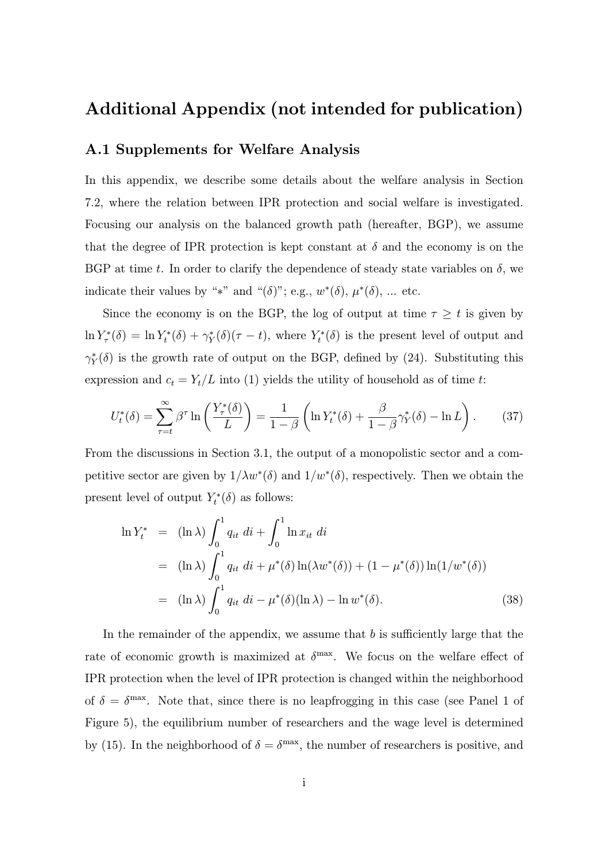## Additional Appendix (not intended for publication)

## A.1 Supplements for Welfare Analysis

In this appendix, we describe some details about the welfare analysis in Section 7.2, where the relation between IPR protection and social welfare is investigated. Focusing our analysis on the balanced growth path (hereafter, BGP), we assume that the degree of IPR protection is kept constant at  $\delta$  and the economy is on the BGP at time t. In order to clarify the dependence of steady state variables on  $\delta$ , we indicate their values by "\*" and " $(\delta)$ "; e.g.,  $w^*(\delta)$ ,  $\mu^*(\delta)$ , ... etc.

Since the economy is on the BGP, the log of output at time  $\tau \geq t$  is given by  $\ln Y_{\tau}^*(\delta) = \ln Y_t^*(\delta) + \gamma_Y^*(\delta)(\tau - t)$ , where  $Y_t^*(\delta)$  is the present level of output and  $\gamma_Y^*(\delta)$  is the growth rate of output on the BGP, defined by (24). Substituting this expression and  $c_t = Y_t/L$  into (1) yields the utility of household as of time t:

$$
U_t^*(\delta) = \sum_{\tau=t}^{\infty} \beta^{\tau} \ln \left( \frac{Y_\tau^*(\delta)}{L} \right) = \frac{1}{1-\beta} \left( \ln Y_t^*(\delta) + \frac{\beta}{1-\beta} \gamma_Y^*(\delta) - \ln L \right). \tag{37}
$$

From the discussions in Section 3.1, the output of a monopolistic sector and a competitive sector are given by  $1/\lambda w^*(\delta)$  and  $1/w^*(\delta)$ , respectively. Then we obtain the present level of output  $Y_t^*(\delta)$  as follows:

$$
\ln Y_t^* = (\ln \lambda) \int_0^1 q_{it} \, di + \int_0^1 \ln x_{it} \, di
$$
  
=  $(\ln \lambda) \int_0^1 q_{it} \, di + \mu^*(\delta) \ln(\lambda w^*(\delta)) + (1 - \mu^*(\delta)) \ln(1/w^*(\delta))$   
=  $(\ln \lambda) \int_0^1 q_{it} \, di - \mu^*(\delta)(\ln \lambda) - \ln w^*(\delta).$  (38)

In the remainder of the appendix, we assume that  $b$  is sufficiently large that the rate of economic growth is maximized at  $\delta^{\text{max}}$ . We focus on the welfare effect of IPR protection when the level of IPR protection is changed within the neighborhood of  $\delta = \delta^{\text{max}}$ . Note that, since there is no leapfrogging in this case (see Panel 1 of Figure 5), the equilibrium number of researchers and the wage level is determined by (15). In the neighborhood of  $\delta = \delta^{\text{max}}$ , the number of researchers is positive, and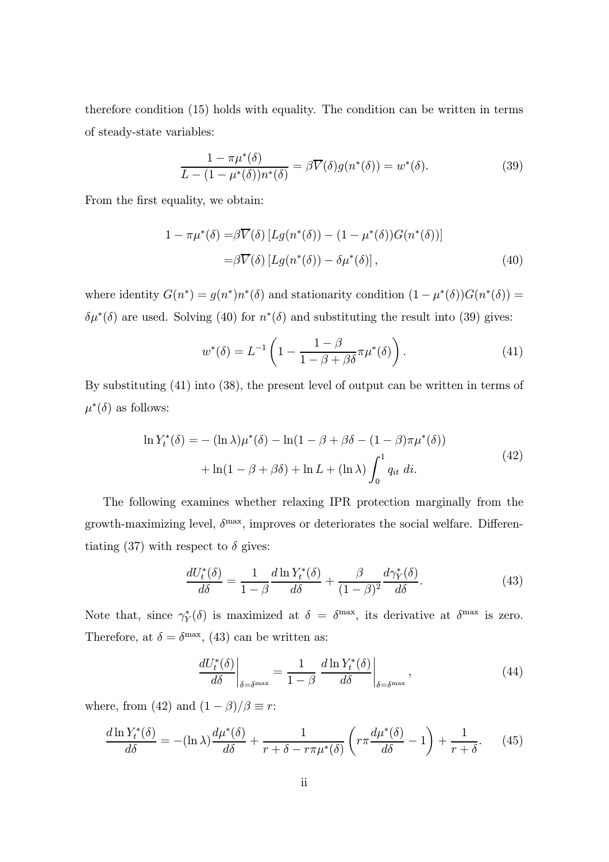therefore condition (15) holds with equality. The condition can be written in terms of steady-state variables:

$$
\frac{1 - \pi \mu^*(\delta)}{L - (1 - \mu^*(\delta))n^*(\delta)} = \beta \overline{V}(\delta)g(n^*(\delta)) = w^*(\delta). \tag{39}
$$

From the first equality, we obtain:

$$
1 - \pi \mu^*(\delta) = \beta \overline{V}(\delta) \left[ Lg(n^*(\delta)) - (1 - \mu^*(\delta)) G(n^*(\delta)) \right]
$$
  

$$
= \beta \overline{V}(\delta) \left[ Lg(n^*(\delta)) - \delta \mu^*(\delta) \right],
$$
 (40)

where identity  $G(n^*) = g(n^*)n^*(\delta)$  and stationarity condition  $(1 - \mu^*(\delta))G(n^*(\delta)) =$  $\delta\mu^*(\delta)$  are used. Solving (40) for  $n^*(\delta)$  and substituting the result into (39) gives:

$$
w^*(\delta) = L^{-1} \left( 1 - \frac{1 - \beta}{1 - \beta + \beta \delta} \pi \mu^*(\delta) \right). \tag{41}
$$

By substituting (41) into (38), the present level of output can be written in terms of  $\mu^*(\delta)$  as follows:

$$
\ln Y_t^*(\delta) = -(\ln \lambda)\mu^*(\delta) - \ln(1 - \beta + \beta\delta - (1 - \beta)\pi\mu^*(\delta))
$$
  
+ 
$$
\ln(1 - \beta + \beta\delta) + \ln L + (\ln \lambda) \int_0^1 q_{it} dt.
$$
 (42)

The following examines whether relaxing IPR protection marginally from the growth-maximizing level,  $\delta^{\text{max}}$ , improves or deteriorates the social welfare. Differentiating (37) with respect to  $\delta$  gives:

$$
\frac{dU_t^*(\delta)}{d\delta} = \frac{1}{1-\beta} \frac{d\ln Y_t^*(\delta)}{d\delta} + \frac{\beta}{(1-\beta)^2} \frac{d\gamma_Y^*(\delta)}{d\delta}.
$$
(43)

Note that, since  $\gamma_Y^*(\delta)$  is maximized at  $\delta = \delta^{\max}$ , its derivative at  $\delta^{\max}$  is zero. Therefore, at  $\delta = \delta^{\max}$ , (43) can be written as:

$$
\left. \frac{dU_t^*(\delta)}{d\delta} \right|_{\delta = \delta^{\max}} = \frac{1}{1-\beta} \left. \frac{d\ln Y_t^*(\delta)}{d\delta} \right|_{\delta = \delta^{\max}}, \tag{44}
$$

where, from (42) and  $(1 - \beta)/\beta \equiv r$ :

$$
\frac{d\ln Y_t^*(\delta)}{d\delta} = -(\ln \lambda)\frac{d\mu^*(\delta)}{d\delta} + \frac{1}{r + \delta - r\pi\mu^*(\delta)} \left(r\pi \frac{d\mu^*(\delta)}{d\delta} - 1\right) + \frac{1}{r + \delta}.\tag{45}
$$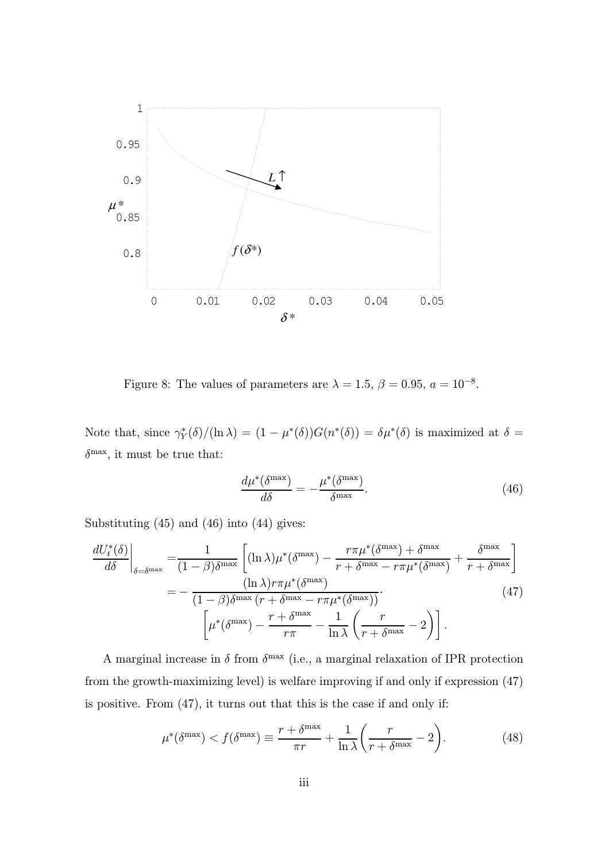

Figure 8: The values of parameters are  $\lambda = 1.5$ ,  $\beta = 0.95$ ,  $a = 10^{-8}$ .

Note that, since  $\gamma_Y^*(\delta)/(\ln \lambda) = (1 - \mu^*(\delta))G(n^*(\delta)) = \delta \mu^*(\delta)$  is maximized at  $\delta =$  $\delta^\text{max},$  it must be true that:

$$
\frac{d\mu^*(\delta^{\max})}{d\delta} = -\frac{\mu^*(\delta^{\max})}{\delta^{\max}}.\tag{46}
$$

Substituting (45) and (46) into (44) gives:

$$
\frac{dU_t^*(\delta)}{d\delta}\Big|_{\delta=\delta^{\max}} = \frac{1}{(1-\beta)\delta^{\max}} \left[ (\ln \lambda)\mu^*(\delta^{\max}) - \frac{r\pi\mu^*(\delta^{\max}) + \delta^{\max}}{r + \delta^{\max} - r\pi\mu^*(\delta^{\max})} + \frac{\delta^{\max}}{r + \delta^{\max}} \right]
$$

$$
= -\frac{(\ln \lambda)r\pi\mu^*(\delta^{\max})}{(1-\beta)\delta^{\max}(r + \delta^{\max} - r\pi\mu^*(\delta^{\max}))} \cdot (47)
$$

$$
\left[ \mu^*(\delta^{\max}) - \frac{r + \delta^{\max}}{r\pi} - \frac{1}{\ln \lambda} \left( \frac{r}{r + \delta^{\max}} - 2 \right) \right].
$$

A marginal increase in  $\delta$  from  $\delta^{\max}$  (i.e., a marginal relaxation of IPR protection from the growth-maximizing level) is welfare improving if and only if expression (47) is positive. From (47), it turns out that this is the case if and only if:

$$
\mu^*(\delta^{\max}) < f(\delta^{\max}) \equiv \frac{r + \delta^{\max}}{\pi r} + \frac{1}{\ln \lambda} \left( \frac{r}{r + \delta^{\max}} - 2 \right). \tag{48}
$$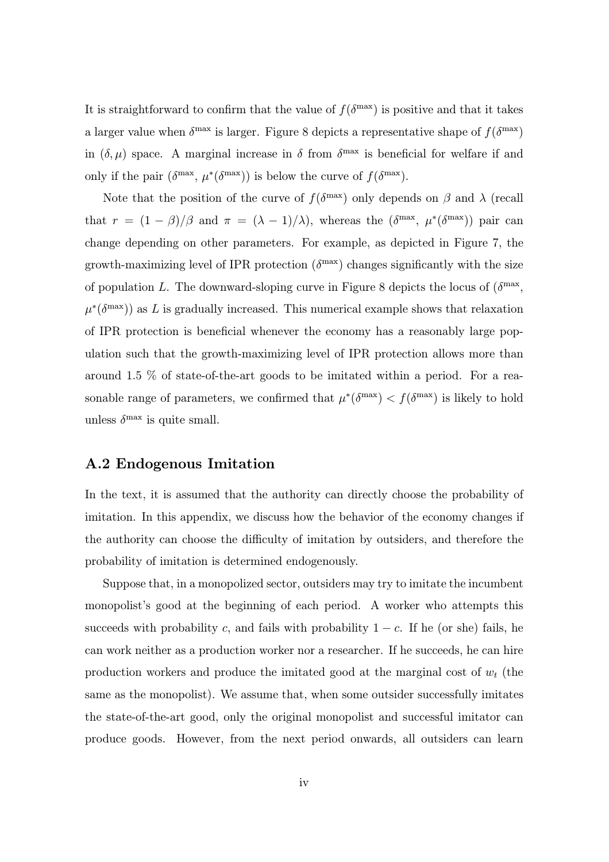It is straightforward to confirm that the value of  $f(\delta^{\max})$  is positive and that it takes a larger value when  $\delta^{\max}$  is larger. Figure 8 depicts a representative shape of  $f(\delta^{\max})$ in  $(\delta, \mu)$  space. A marginal increase in  $\delta$  from  $\delta^{\max}$  is beneficial for welfare if and only if the pair  $(\delta^{\max}, \mu^*(\delta^{\max}))$  is below the curve of  $f(\delta^{\max})$ .

Note that the position of the curve of  $f(\delta^{\max})$  only depends on  $\beta$  and  $\lambda$  (recall that  $r = (1 - \beta)/\beta$  and  $\pi = (\lambda - 1)/\lambda$ , whereas the  $(\delta^{\max}, \mu^*(\delta^{\max}))$  pair can change depending on other parameters. For example, as depicted in Figure 7, the growth-maximizing level of IPR protection  $(\delta^{\text{max}})$  changes significantly with the size of population L. The downward-sloping curve in Figure 8 depicts the locus of  $(\delta^{\max},$  $\mu^*(\delta^{\max})$  as L is gradually increased. This numerical example shows that relaxation of IPR protection is beneficial whenever the economy has a reasonably large population such that the growth-maximizing level of IPR protection allows more than around 1.5 % of state-of-the-art goods to be imitated within a period. For a reasonable range of parameters, we confirmed that  $\mu^*(\delta^{\max}) < f(\delta^{\max})$  is likely to hold unless  $\delta^{\max}$  is quite small.

## A.2 Endogenous Imitation

In the text, it is assumed that the authority can directly choose the probability of imitation. In this appendix, we discuss how the behavior of the economy changes if the authority can choose the difficulty of imitation by outsiders, and therefore the probability of imitation is determined endogenously.

Suppose that, in a monopolized sector, outsiders may try to imitate the incumbent monopolist's good at the beginning of each period. A worker who attempts this succeeds with probability c, and fails with probability  $1 - c$ . If he (or she) fails, he can work neither as a production worker nor a researcher. If he succeeds, he can hire production workers and produce the imitated good at the marginal cost of  $w_t$  (the same as the monopolist). We assume that, when some outsider successfully imitates the state-of-the-art good, only the original monopolist and successful imitator can produce goods. However, from the next period onwards, all outsiders can learn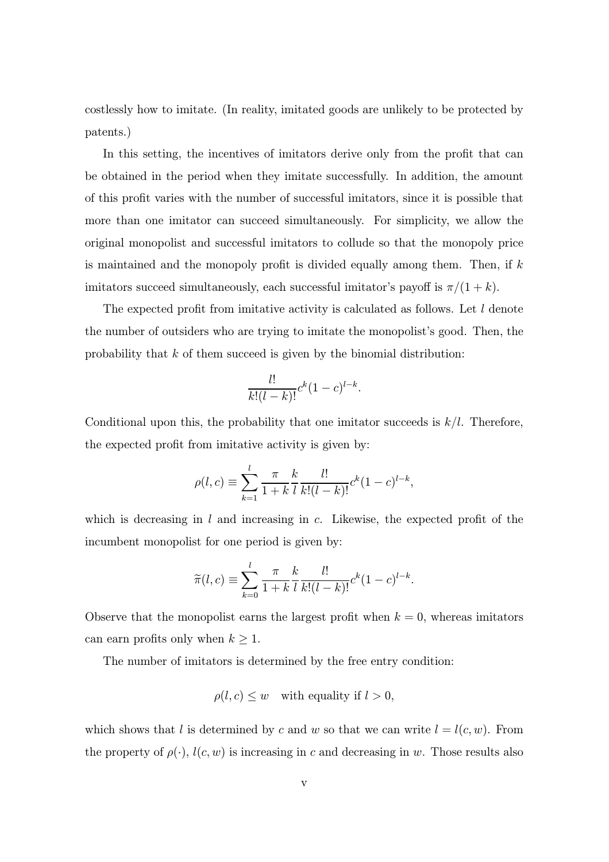costlessly how to imitate. (In reality, imitated goods are unlikely to be protected by patents.)

In this setting, the incentives of imitators derive only from the profit that can be obtained in the period when they imitate successfully. In addition, the amount of this profit varies with the number of successful imitators, since it is possible that more than one imitator can succeed simultaneously. For simplicity, we allow the original monopolist and successful imitators to collude so that the monopoly price is maintained and the monopoly profit is divided equally among them. Then, if  $k$ imitators succeed simultaneously, each successful imitator's payoff is  $\pi/(1 + k)$ .

The expected profit from imitative activity is calculated as follows. Let  $l$  denote the number of outsiders who are trying to imitate the monopolist's good. Then, the probability that  $k$  of them succeed is given by the binomial distribution:

$$
\frac{l!}{k!(l-k)!}c^k(1-c)^{l-k}.
$$

Conditional upon this, the probability that one imitator succeeds is  $k/l$ . Therefore, the expected profit from imitative activity is given by:

$$
\rho(l,c) \equiv \sum_{k=1}^{l} \frac{\pi}{1+k} \frac{k}{l} \frac{l!}{k!(l-k)!} c^{k} (1-c)^{l-k},
$$

which is decreasing in  $l$  and increasing in  $c$ . Likewise, the expected profit of the incumbent monopolist for one period is given by:

$$
\widetilde{\pi}(l,c) \equiv \sum_{k=0}^{l} \frac{\pi}{1+k} \frac{k}{l} \frac{l!}{k!(l-k)!} c^{k} (1-c)^{l-k}.
$$

Observe that the monopolist earns the largest profit when  $k = 0$ , whereas imitators can earn profits only when  $k \geq 1$ .

The number of imitators is determined by the free entry condition:

$$
\rho(l,c) \leq w \quad \text{with equality if } l > 0,
$$

which shows that l is determined by c and w so that we can write  $l = l(c, w)$ . From the property of  $\rho(\cdot)$ ,  $l(c, w)$  is increasing in c and decreasing in w. Those results also